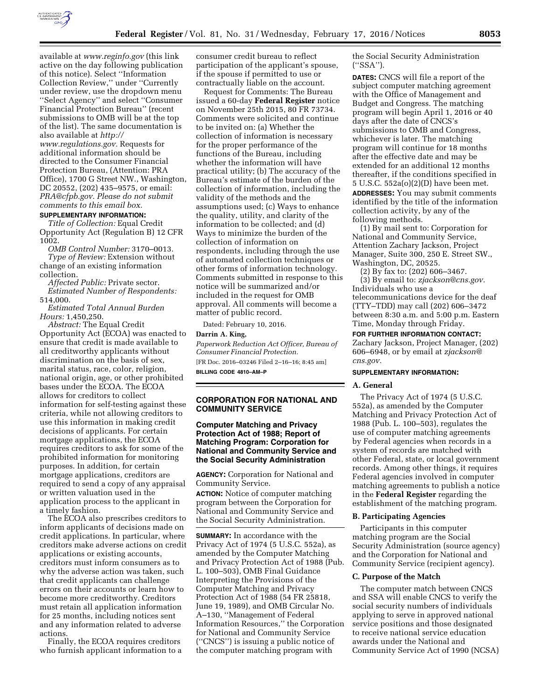

available at *[www.reginfo.gov](http://www.reginfo.gov)* (this link active on the day following publication of this notice). Select ''Information Collection Review,'' under ''Currently under review, use the dropdown menu ''Select Agency'' and select ''Consumer Financial Protection Bureau'' (recent submissions to OMB will be at the top of the list). The same documentation is also available at *[http://](http://www.regulations.gov)* 

*[www.regulations.gov.](http://www.regulations.gov)* Requests for additional information should be directed to the Consumer Financial Protection Bureau, (Attention: PRA Office), 1700 G Street NW., Washington, DC 20552, (202) 435–9575, or email: *[PRA@cfpb.gov.](mailto:PRA@cfpb.gov) Please do not submit comments to this email box.* 

#### **SUPPLEMENTARY INFORMATION:**

*Title of Collection:* Equal Credit Opportunity Act (Regulation B) 12 CFR 1002.

*OMB Control Number:* 3170–0013. *Type of Review:* Extension without change of an existing information collection.

*Affected Public:* Private sector. *Estimated Number of Respondents:*  514,000.

*Estimated Total Annual Burden Hours:* 1,450,250.

*Abstract:* The Equal Credit Opportunity Act (ECOA) was enacted to ensure that credit is made available to all creditworthy applicants without discrimination on the basis of sex, marital status, race, color, religion, national origin, age, or other prohibited bases under the ECOA. The ECOA allows for creditors to collect information for self-testing against these criteria, while not allowing creditors to use this information in making credit decisions of applicants. For certain mortgage applications, the ECOA requires creditors to ask for some of the prohibited information for monitoring purposes. In addition, for certain mortgage applications, creditors are required to send a copy of any appraisal or written valuation used in the application process to the applicant in a timely fashion.

The ECOA also prescribes creditors to inform applicants of decisions made on credit applications. In particular, where creditors make adverse actions on credit applications or existing accounts, creditors must inform consumers as to why the adverse action was taken, such that credit applicants can challenge errors on their accounts or learn how to become more creditworthy. Creditors must retain all application information for 25 months, including notices sent and any information related to adverse actions.

Finally, the ECOA requires creditors who furnish applicant information to a consumer credit bureau to reflect participation of the applicant's spouse, if the spouse if permitted to use or contractually liable on the account.

Request for Comments: The Bureau issued a 60-day **Federal Register** notice on November 25th 2015, 80 FR 73734. Comments were solicited and continue to be invited on: (a) Whether the collection of information is necessary for the proper performance of the functions of the Bureau, including whether the information will have practical utility; (b) The accuracy of the Bureau's estimate of the burden of the collection of information, including the validity of the methods and the assumptions used; (c) Ways to enhance the quality, utility, and clarity of the information to be collected; and (d) Ways to minimize the burden of the collection of information on respondents, including through the use of automated collection techniques or other forms of information technology. Comments submitted in response to this notice will be summarized and/or included in the request for OMB approval. All comments will become a matter of public record.

Dated: February 10, 2016.

#### **Darrin A. King,**

*Paperwork Reduction Act Officer, Bureau of Consumer Financial Protection.*  [FR Doc. 2016–03246 Filed 2–16–16; 8:45 am] **BILLING CODE 4810–AM–P** 

# **CORPORATION FOR NATIONAL AND COMMUNITY SERVICE**

**Computer Matching and Privacy Protection Act of 1988; Report of Matching Program: Corporation for National and Community Service and the Social Security Administration** 

**AGENCY:** Corporation for National and Community Service.

**ACTION:** Notice of computer matching program between the Corporation for National and Community Service and the Social Security Administration.

**SUMMARY:** In accordance with the Privacy Act of 1974 (5 U.S.C. 552a), as amended by the Computer Matching and Privacy Protection Act of 1988 (Pub. L. 100–503), OMB Final Guidance Interpreting the Provisions of the Computer Matching and Privacy Protection Act of 1988 (54 FR 25818, June 19, 1989), and OMB Circular No. A–130, ''Management of Federal Information Resources,'' the Corporation for National and Community Service (''CNCS'') is issuing a public notice of the computer matching program with

the Social Security Administration (''SSA'').

**DATES:** CNCS will file a report of the subject computer matching agreement with the Office of Management and Budget and Congress. The matching program will begin April 1, 2016 or 40 days after the date of CNCS's submissions to OMB and Congress, whichever is later. The matching program will continue for 18 months after the effective date and may be extended for an additional 12 months thereafter, if the conditions specified in 5 U.S.C. 552a(o)(2)(D) have been met. **ADDRESSES:** You may submit comments identified by the title of the information collection activity, by any of the following methods.

(1) By mail sent to: Corporation for National and Community Service, Attention Zachary Jackson, Project Manager, Suite 300, 250 E. Street SW., Washington, DC, 20525.

(2) By fax to: (202) 606–3467.

(3) By email to: *[zjackson@cns.gov.](mailto:zjackson@cns.gov)*  Individuals who use a telecommunications device for the deaf (TTY–TDD) may call (202) 606–3472 between 8:30 a.m. and 5:00 p.m. Eastern Time, Monday through Friday.

# **FOR FURTHER INFORMATION CONTACT:**

Zachary Jackson, Project Manager, (202) 606–6948, or by email at *[zjackson@](mailto:zjackson@cns.gov) [cns.gov.](mailto:zjackson@cns.gov)* 

### **SUPPLEMENTARY INFORMATION:**

#### **A. General**

The Privacy Act of 1974 (5 U.S.C. 552a), as amended by the Computer Matching and Privacy Protection Act of 1988 (Pub. L. 100–503), regulates the use of computer matching agreements by Federal agencies when records in a system of records are matched with other Federal, state, or local government records. Among other things, it requires Federal agencies involved in computer matching agreements to publish a notice in the **Federal Register** regarding the establishment of the matching program.

#### **B. Participating Agencies**

Participants in this computer matching program are the Social Security Administration (source agency) and the Corporation for National and Community Service (recipient agency).

#### **C. Purpose of the Match**

The computer match between CNCS and SSA will enable CNCS to verify the social security numbers of individuals applying to serve in approved national service positions and those designated to receive national service education awards under the National and Community Service Act of 1990 (NCSA)